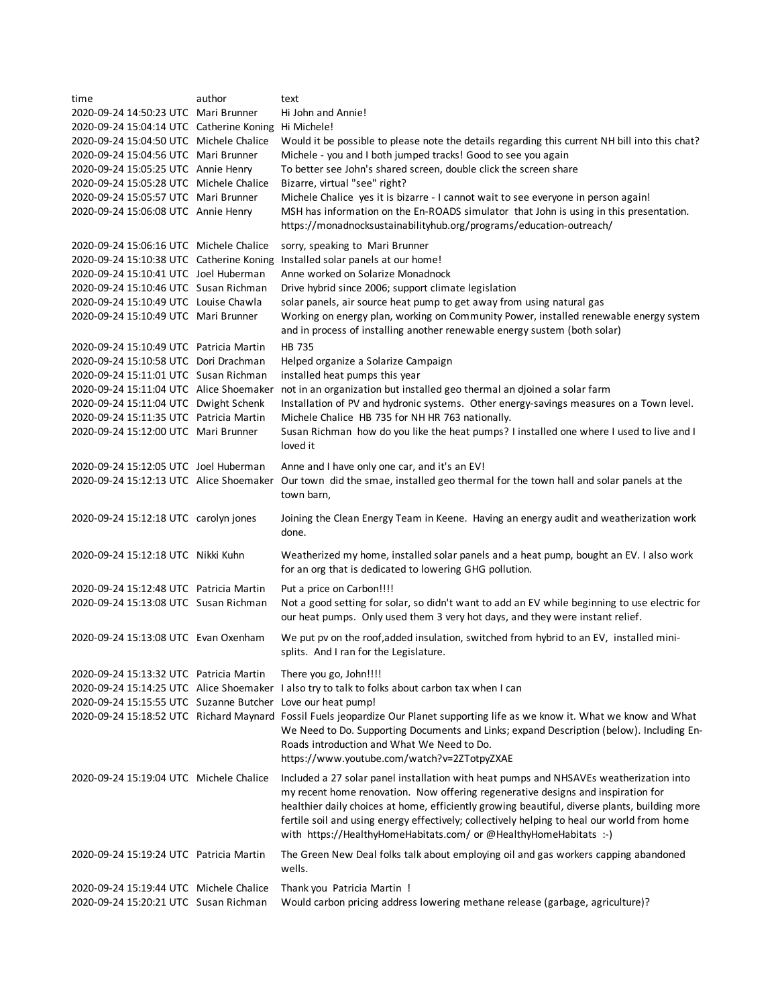| time                                     | author | text                                                                                                                                                                                                                                                                             |
|------------------------------------------|--------|----------------------------------------------------------------------------------------------------------------------------------------------------------------------------------------------------------------------------------------------------------------------------------|
| 2020-09-24 14:50:23 UTC Mari Brunner     |        | Hi John and Annie!                                                                                                                                                                                                                                                               |
| 2020-09-24 15:04:14 UTC Catherine Koning |        | Hi Michele!                                                                                                                                                                                                                                                                      |
| 2020-09-24 15:04:50 UTC Michele Chalice  |        | Would it be possible to please note the details regarding this current NH bill into this chat?                                                                                                                                                                                   |
| 2020-09-24 15:04:56 UTC Mari Brunner     |        | Michele - you and I both jumped tracks! Good to see you again                                                                                                                                                                                                                    |
| 2020-09-24 15:05:25 UTC Annie Henry      |        | To better see John's shared screen, double click the screen share                                                                                                                                                                                                                |
| 2020-09-24 15:05:28 UTC Michele Chalice  |        | Bizarre, virtual "see" right?                                                                                                                                                                                                                                                    |
| 2020-09-24 15:05:57 UTC Mari Brunner     |        | Michele Chalice yes it is bizarre - I cannot wait to see everyone in person again!                                                                                                                                                                                               |
| 2020-09-24 15:06:08 UTC Annie Henry      |        | MSH has information on the En-ROADS simulator that John is using in this presentation.<br>https://monadnocksustainabilityhub.org/programs/education-outreach/                                                                                                                    |
| 2020-09-24 15:06:16 UTC Michele Chalice  |        | sorry, speaking to Mari Brunner                                                                                                                                                                                                                                                  |
| 2020-09-24 15:10:38 UTC Catherine Koning |        | Installed solar panels at our home!                                                                                                                                                                                                                                              |
| 2020-09-24 15:10:41 UTC Joel Huberman    |        | Anne worked on Solarize Monadnock                                                                                                                                                                                                                                                |
| 2020-09-24 15:10:46 UTC Susan Richman    |        | Drive hybrid since 2006; support climate legislation                                                                                                                                                                                                                             |
| 2020-09-24 15:10:49 UTC Louise Chawla    |        | solar panels, air source heat pump to get away from using natural gas                                                                                                                                                                                                            |
| 2020-09-24 15:10:49 UTC Mari Brunner     |        | Working on energy plan, working on Community Power, installed renewable energy system<br>and in process of installing another renewable energy sustem (both solar)                                                                                                               |
| 2020-09-24 15:10:49 UTC Patricia Martin  |        | <b>HB 735</b>                                                                                                                                                                                                                                                                    |
| 2020-09-24 15:10:58 UTC Dori Drachman    |        | Helped organize a Solarize Campaign                                                                                                                                                                                                                                              |
| 2020-09-24 15:11:01 UTC Susan Richman    |        | installed heat pumps this year                                                                                                                                                                                                                                                   |
| 2020-09-24 15:11:04 UTC Alice Shoemaker  |        | not in an organization but installed geo thermal an djoined a solar farm                                                                                                                                                                                                         |
| 2020-09-24 15:11:04 UTC Dwight Schenk    |        | Installation of PV and hydronic systems. Other energy-savings measures on a Town level.                                                                                                                                                                                          |
| 2020-09-24 15:11:35 UTC Patricia Martin  |        | Michele Chalice HB 735 for NH HR 763 nationally.                                                                                                                                                                                                                                 |
| 2020-09-24 15:12:00 UTC Mari Brunner     |        | Susan Richman how do you like the heat pumps? I installed one where I used to live and I<br>loved it                                                                                                                                                                             |
| 2020-09-24 15:12:05 UTC Joel Huberman    |        | Anne and I have only one car, and it's an EV!                                                                                                                                                                                                                                    |
| 2020-09-24 15:12:13 UTC Alice Shoemaker  |        | Our town did the smae, installed geo thermal for the town hall and solar panels at the<br>town barn,                                                                                                                                                                             |
| 2020-09-24 15:12:18 UTC carolyn jones    |        | Joining the Clean Energy Team in Keene. Having an energy audit and weatherization work<br>done.                                                                                                                                                                                  |
| 2020-09-24 15:12:18 UTC Nikki Kuhn       |        | Weatherized my home, installed solar panels and a heat pump, bought an EV. I also work<br>for an org that is dedicated to lowering GHG pollution.                                                                                                                                |
| 2020-09-24 15:12:48 UTC Patricia Martin  |        | Put a price on Carbon!!!!                                                                                                                                                                                                                                                        |
| 2020-09-24 15:13:08 UTC Susan Richman    |        | Not a good setting for solar, so didn't want to add an EV while beginning to use electric for<br>our heat pumps. Only used them 3 very hot days, and they were instant relief.                                                                                                   |
| 2020-09-24 15:13:08 UTC Evan Oxenham     |        | We put pv on the roof, added insulation, switched from hybrid to an EV, installed mini-<br>splits. And I ran for the Legislature.                                                                                                                                                |
| 2020-09-24 15:13:32 UTC Patricia Martin  |        | There you go, John!!!!                                                                                                                                                                                                                                                           |
|                                          |        | 2020-09-24 15:14:25 UTC Alice Shoemaker I also try to talk to folks about carbon tax when I can                                                                                                                                                                                  |
| 2020-09-24 15:15:55 UTC Suzanne Butcher  |        | Love our heat pump!                                                                                                                                                                                                                                                              |
| 2020-09-24 15:18:52 UTC Richard Maynard  |        | Fossil Fuels jeopardize Our Planet supporting life as we know it. What we know and What<br>We Need to Do. Supporting Documents and Links; expand Description (below). Including En-<br>Roads introduction and What We Need to Do.<br>https://www.youtube.com/watch?v=2ZTotpyZXAE |
| 2020-09-24 15:19:04 UTC Michele Chalice  |        | Included a 27 solar panel installation with heat pumps and NHSAVEs weatherization into<br>my recent home renovation. Now offering regenerative designs and inspiration for                                                                                                       |
|                                          |        | healthier daily choices at home, efficiently growing beautiful, diverse plants, building more<br>fertile soil and using energy effectively; collectively helping to heal our world from home<br>with https://HealthyHomeHabitats.com/ or @HealthyHomeHabitats :-)                |
| 2020-09-24 15:19:24 UTC Patricia Martin  |        | The Green New Deal folks talk about employing oil and gas workers capping abandoned<br>wells.                                                                                                                                                                                    |
| 2020-09-24 15:19:44 UTC Michele Chalice  |        | Thank you Patricia Martin !                                                                                                                                                                                                                                                      |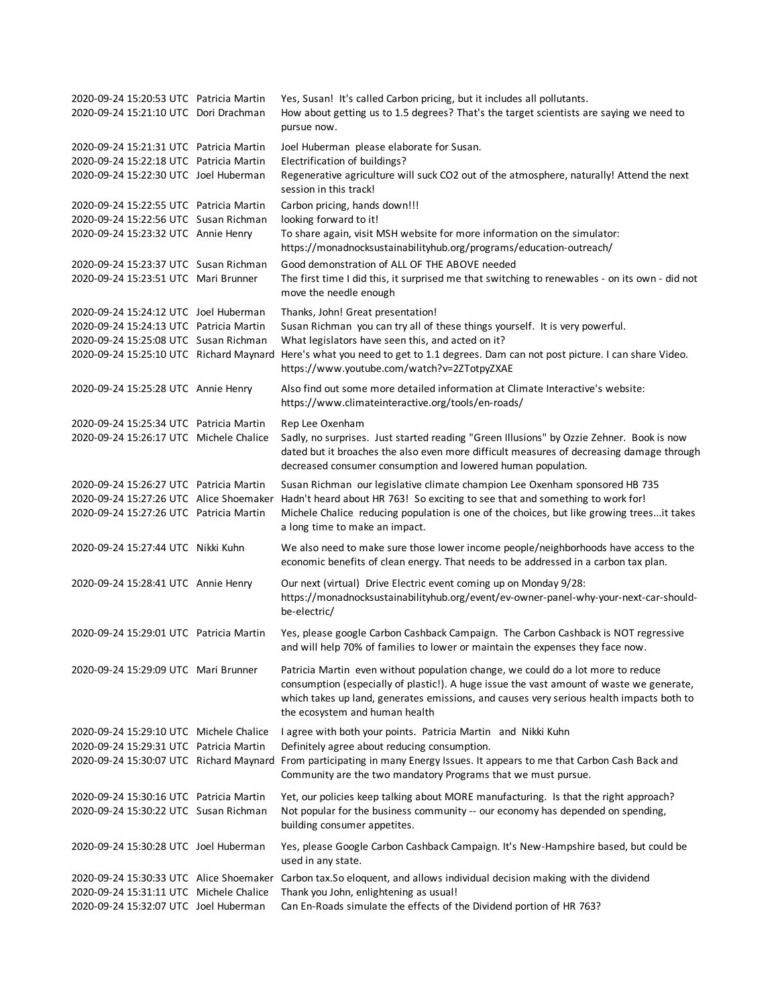```
2020-09-24 15:20:53 UTC Patricia Martin Yes, Susan! It's called Carbon pricing, but it includes all pollutants.
2020-09-24 15:21:10 UTC Dori Drachman
2020-09-24 15:21:31 UTC Patricia Martin Joel Huberman please elaborate for Susan.
2020-09-24 15:22:18 UTC Patricia Martin Electrification of buildings?
2020-09-24 15:22:30 UTC Joel Huberman
2020-09-24 15:22:55 UTC Patricia Martin Carbon pricing, hands down!!!
2020-09-24 15:22:56 UTC Susan Richman looking forward to it!
2020-09-24 15:23:32 UTC Annie Henry
2020-09-24 15:23:37 UTC Susan Richman Good demonstration of ALL OF THE ABOVE needed
2020-09-24 15:23:51 UTC Mari Brunner
2020-09-24 15:24:12 UTC Joel Huberman Thanks, John! Great presentation!
2020-09-24 15:24:13 UTC Patricia Martin Susan Richman you can try all of these things yourself. It is very powerful.
2020-09-24 15:25:08 UTC Susan Richman What legislators have seen this, and acted on it?
2020-09-24 15:25:10 UTC Richard Maynard
Here's what you need to get to 1.1 degrees. Dam can not post picture. I can share Video. 
2020-09-24 15:25:28 UTC Annie Henry
2020-09-24 15:25:34 UTC Patricia Martin Rep Lee Oxenham
2020-09-24 15:26:17 UTC Michele Chalice
2020-09-24 15:26:27 UTC Patricia Martin Susan Richman our legislative climate champion Lee Oxenham sponsored HB 735
2020-09-24 15:27:26 UTC Alice Shoemaker Hadn't heard about HR 763! So exciting to see that and something to work for!
2020-09-24 15:27:26 UTC Patricia Martin
2020-09-24 15:27:44 UTC Nikki Kuhn
2020-09-24 15:28:41 UTC Annie Henry
2020-09-24 15:29:01 UTC Patricia Martin
2020-09-24 15:29:09 UTC Mari Brunner
2020-09-24 15:29:10 UTC Michele Chalice I agree with both your points. Patricia Martin and Nikki Kuhn
2020-09-24 15:29:31 UTC Patricia Martin Definitely agree about reducing consumption.
2020-09-24 15:30:07 UTC Richard Maynard
From participating in many Energy Issues. It appears to me that Carbon Cash Back and 
2020-09-24 15:30:16 UTC Patricia Martin Yet, our policies keep talking about MORE manufacturing. Is that the right approach?
2020-09-24 15:30:22 UTC Susan Richman
2020-09-24 15:30:28 UTC Joel Huberman
2020-09-24 15:30:33 UTC Alice Shoemaker Carbon tax.So eloquent, and allows individual decision making with the dividend
2020-09-24 15:31:11 UTC Michele Chalice Thank you John, enlightening as usual!
2020-09-24 15:32:07 UTC Joel Huberman Can En-Roads simulate the effects of the Dividend portion of HR 763?
                                           Not popular for the business community -- our economy has depended on spending, 
                                           building consumer appetites.
                                           Yes, please Google Carbon Cashback Campaign. It's New-Hampshire based, but could be 
                                           used in any state.
                                           Michele Chalice reducing population is one of the choices, but like growing trees...it takes 
                                           a long time to make an impact.
                                           We also need to make sure those lower income people/neighborhoods have access to the 
                                           economic benefits of clean energy. That needs to be addressed in a carbon tax plan.
                                           Our next (virtual) Drive Electric event coming up on Monday 9/28: 
                                           https://monadnocksustainabilityhub.org/event/ev-owner-panel-why-your-next-car-should-
                                           be-electric/
                                           Yes, please google Carbon Cashback Campaign. The Carbon Cashback is NOT regressive 
                                           and will help 70% of families to lower or maintain the expenses they face now.
                                           Patricia Martin even without population change, we could do a lot more to reduce 
                                           consumption (especially of plastic!). A huge issue the vast amount of waste we generate, 
                                           which takes up land, generates emissions, and causes very serious health impacts both to 
                                           the ecosystem and human health
                                           Community are the two mandatory Programs that we must pursue.
                                           Regenerative agriculture will suck CO2 out of the atmosphere, naturally! Attend the next 
                                           session in this track!
                                           To share again, visit MSH website for more information on the simulator: 
                                           https://monadnocksustainabilityhub.org/programs/education-outreach/
                                           The first time I did this, it surprised me that switching to renewables - on its own - did not 
                                           move the needle enough
                                           https://www.youtube.com/watch?v=2ZTotpyZXAE
                                           Also find out some more detailed information at Climate Interactive's website: 
                                           https://www.climateinteractive.org/tools/en-roads/
                                           Sadly, no surprises. Just started reading "Green Illusions" by Ozzie Zehner. Book is now 
                                           dated but it broaches the also even more difficult measures of decreasing damage through 
                                           decreased consumer consumption and lowered human population.
                                           How about getting us to 1.5 degrees? That's the target scientists are saying we need to 
                                           pursue now.
```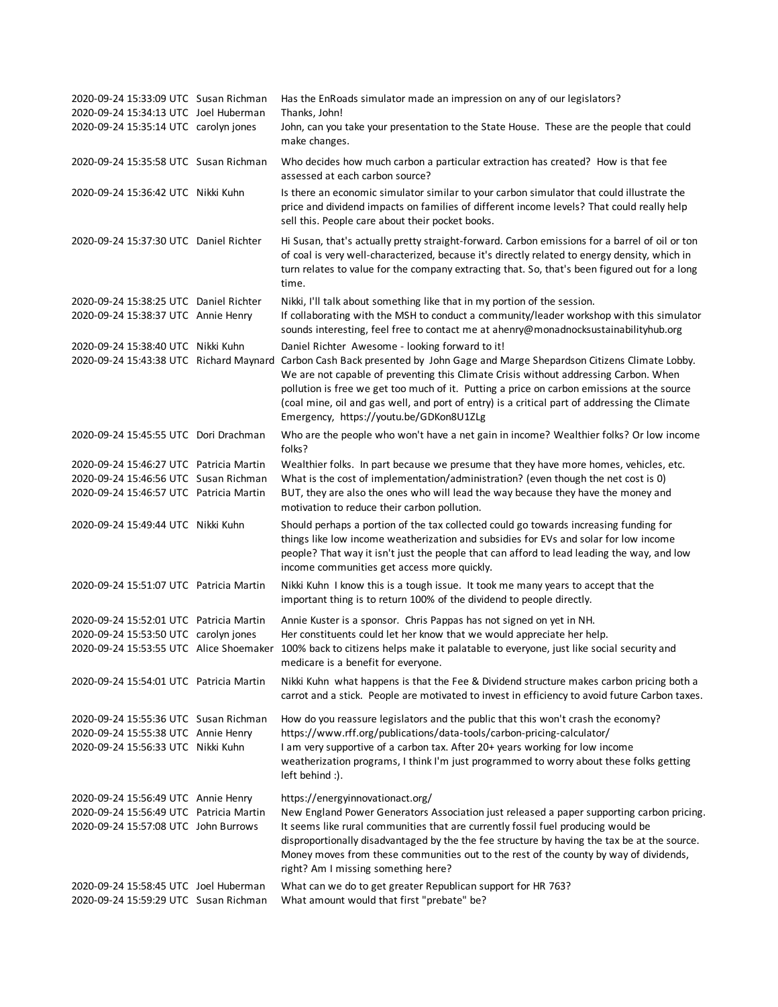| 2020-09-24 15:33:09 UTC Susan Richman<br>2020-09-24 15:34:13 UTC Joel Huberman<br>2020-09-24 15:35:14 UTC carolyn jones | Has the EnRoads simulator made an impression on any of our legislators?<br>Thanks, John!<br>John, can you take your presentation to the State House. These are the people that could<br>make changes.                                                                                                                                                                                                                                                                                                             |
|-------------------------------------------------------------------------------------------------------------------------|-------------------------------------------------------------------------------------------------------------------------------------------------------------------------------------------------------------------------------------------------------------------------------------------------------------------------------------------------------------------------------------------------------------------------------------------------------------------------------------------------------------------|
| 2020-09-24 15:35:58 UTC Susan Richman                                                                                   | Who decides how much carbon a particular extraction has created? How is that fee<br>assessed at each carbon source?                                                                                                                                                                                                                                                                                                                                                                                               |
| 2020-09-24 15:36:42 UTC Nikki Kuhn                                                                                      | Is there an economic simulator similar to your carbon simulator that could illustrate the<br>price and dividend impacts on families of different income levels? That could really help<br>sell this. People care about their pocket books.                                                                                                                                                                                                                                                                        |
| 2020-09-24 15:37:30 UTC Daniel Richter                                                                                  | Hi Susan, that's actually pretty straight-forward. Carbon emissions for a barrel of oil or ton<br>of coal is very well-characterized, because it's directly related to energy density, which in<br>turn relates to value for the company extracting that. So, that's been figured out for a long<br>time.                                                                                                                                                                                                         |
| 2020-09-24 15:38:25 UTC Daniel Richter<br>2020-09-24 15:38:37 UTC Annie Henry                                           | Nikki, I'll talk about something like that in my portion of the session.<br>If collaborating with the MSH to conduct a community/leader workshop with this simulator<br>sounds interesting, feel free to contact me at ahenry@monadnocksustainabilityhub.org                                                                                                                                                                                                                                                      |
| 2020-09-24 15:38:40 UTC Nikki Kuhn                                                                                      | Daniel Richter Awesome - looking forward to it!<br>2020-09-24 15:43:38 UTC Richard Maynard Carbon Cash Back presented by John Gage and Marge Shepardson Citizens Climate Lobby.<br>We are not capable of preventing this Climate Crisis without addressing Carbon. When<br>pollution is free we get too much of it. Putting a price on carbon emissions at the source<br>(coal mine, oil and gas well, and port of entry) is a critical part of addressing the Climate<br>Emergency, https://youtu.be/GDKon8U1ZLg |
| 2020-09-24 15:45:55 UTC Dori Drachman                                                                                   | Who are the people who won't have a net gain in income? Wealthier folks? Or low income<br>folks?                                                                                                                                                                                                                                                                                                                                                                                                                  |
| 2020-09-24 15:46:27 UTC Patricia Martin                                                                                 | Wealthier folks. In part because we presume that they have more homes, vehicles, etc.                                                                                                                                                                                                                                                                                                                                                                                                                             |
| 2020-09-24 15:46:56 UTC Susan Richman<br>2020-09-24 15:46:57 UTC Patricia Martin                                        | What is the cost of implementation/administration? (even though the net cost is 0)<br>BUT, they are also the ones who will lead the way because they have the money and<br>motivation to reduce their carbon pollution.                                                                                                                                                                                                                                                                                           |
| 2020-09-24 15:49:44 UTC Nikki Kuhn                                                                                      | Should perhaps a portion of the tax collected could go towards increasing funding for<br>things like low income weatherization and subsidies for EVs and solar for low income<br>people? That way it isn't just the people that can afford to lead leading the way, and low<br>income communities get access more quickly.                                                                                                                                                                                        |
| 2020-09-24 15:51:07 UTC Patricia Martin                                                                                 | Nikki Kuhn I know this is a tough issue. It took me many years to accept that the<br>important thing is to return 100% of the dividend to people directly.                                                                                                                                                                                                                                                                                                                                                        |
| 2020-09-24 15:52:01 UTC Patricia Martin                                                                                 | Annie Kuster is a sponsor. Chris Pappas has not signed on yet in NH.                                                                                                                                                                                                                                                                                                                                                                                                                                              |
| 2020-09-24 15:53:50 UTC carolyn jones                                                                                   | Her constituents could let her know that we would appreciate her help.                                                                                                                                                                                                                                                                                                                                                                                                                                            |
| 2020-09-24 15:53:55 UTC Alice Shoemaker                                                                                 | 100% back to citizens helps make it palatable to everyone, just like social security and<br>medicare is a benefit for everyone.                                                                                                                                                                                                                                                                                                                                                                                   |
| 2020-09-24 15:54:01 UTC Patricia Martin                                                                                 | Nikki Kuhn what happens is that the Fee & Dividend structure makes carbon pricing both a<br>carrot and a stick. People are motivated to invest in efficiency to avoid future Carbon taxes.                                                                                                                                                                                                                                                                                                                        |
| 2020-09-24 15:55:36 UTC Susan Richman<br>2020-09-24 15:55:38 UTC Annie Henry<br>2020-09-24 15:56:33 UTC Nikki Kuhn      | How do you reassure legislators and the public that this won't crash the economy?<br>https://www.rff.org/publications/data-tools/carbon-pricing-calculator/<br>I am very supportive of a carbon tax. After 20+ years working for low income<br>weatherization programs, I think I'm just programmed to worry about these folks getting<br>left behind :).                                                                                                                                                         |
| 2020-09-24 15:56:49 UTC Annie Henry<br>2020-09-24 15:56:49 UTC Patricia Martin<br>2020-09-24 15:57:08 UTC John Burrows  | https://energyinnovationact.org/<br>New England Power Generators Association just released a paper supporting carbon pricing.<br>It seems like rural communities that are currently fossil fuel producing would be<br>disproportionally disadvantaged by the the fee structure by having the tax be at the source.<br>Money moves from these communities out to the rest of the county by way of dividends,<br>right? Am I missing something here?                                                                |
| 2020-09-24 15:58:45 UTC Joel Huberman<br>2020-09-24 15:59:29 UTC Susan Richman                                          | What can we do to get greater Republican support for HR 763?<br>What amount would that first "prebate" be?                                                                                                                                                                                                                                                                                                                                                                                                        |